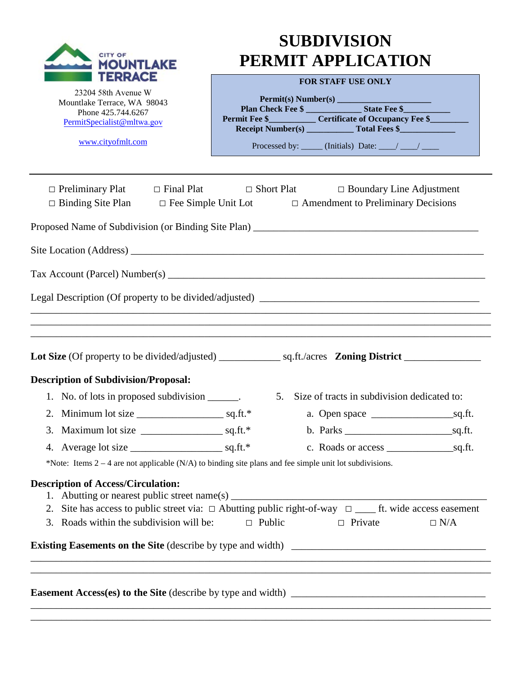| <b>CITY OF</b><br><b>MOUNTLAKE</b>                                                                                                                                                                           | <b>SUBDIVISION</b><br>PERMIT APPLICATION |                                                                                   |            |
|--------------------------------------------------------------------------------------------------------------------------------------------------------------------------------------------------------------|------------------------------------------|-----------------------------------------------------------------------------------|------------|
| TERRACE                                                                                                                                                                                                      | <b>FOR STAFF USE ONLY</b>                |                                                                                   |            |
| 23204 58th Avenue W                                                                                                                                                                                          |                                          |                                                                                   |            |
| Mountlake Terrace, WA 98043<br>Phone 425.744.6267                                                                                                                                                            |                                          | Plan Check Fee \$                                                                 |            |
| PermitSpecialist@mltwa.gov                                                                                                                                                                                   |                                          | Permit Fee \$______________ Certificate of Occupancy Fee \$                       |            |
| www.cityofmlt.com                                                                                                                                                                                            |                                          | Processed by: _____ (Initials) Date: ___/ ___/ ____                               |            |
|                                                                                                                                                                                                              |                                          |                                                                                   |            |
| $\Box$ Preliminary Plat $\Box$ Final Plat<br>$\Box$ Binding Site Plan $\Box$ Fee Simple Unit Lot $\Box$ Amendment to Preliminary Decisions                                                                   |                                          | $\Box$ Short Plat $\Box$ Boundary Line Adjustment                                 |            |
| Proposed Name of Subdivision (or Binding Site Plan) _____________________________                                                                                                                            |                                          |                                                                                   |            |
|                                                                                                                                                                                                              |                                          |                                                                                   |            |
|                                                                                                                                                                                                              |                                          |                                                                                   |            |
|                                                                                                                                                                                                              |                                          |                                                                                   |            |
| <b>Description of Subdivision/Proposal:</b>                                                                                                                                                                  |                                          |                                                                                   |            |
| 1. No. of lots in proposed subdivision _______.                                                                                                                                                              |                                          | 5. Size of tracts in subdivision dedicated to:                                    |            |
| 2. Minimum lot size $\frac{1}{2}$ sq.ft.*                                                                                                                                                                    |                                          |                                                                                   |            |
|                                                                                                                                                                                                              |                                          | $b.$ Parks $\_\_\_\_\_$ sq.ft.                                                    |            |
|                                                                                                                                                                                                              |                                          |                                                                                   |            |
| *Note: Items $2 - 4$ are not applicable (N/A) to binding site plans and fee simple unit lot subdivisions.                                                                                                    |                                          |                                                                                   |            |
| <b>Description of Access/Circulation:</b><br>2. Site has access to public street via: $\Box$ Abutting public right-of-way $\Box$ ______ ft. wide access easement<br>3. Roads within the subdivision will be: | $\Box$ Public                            | $\Box$ Private                                                                    | $\Box$ N/A |
|                                                                                                                                                                                                              |                                          |                                                                                   |            |
|                                                                                                                                                                                                              |                                          | ,我们也不能在这里的时候,我们也不能在这里的时候,我们也不能会在这里的时候,我们也不能会在这里的时候,我们也不能会在这里的时候,我们也不能会在这里的时候,我们也不 |            |